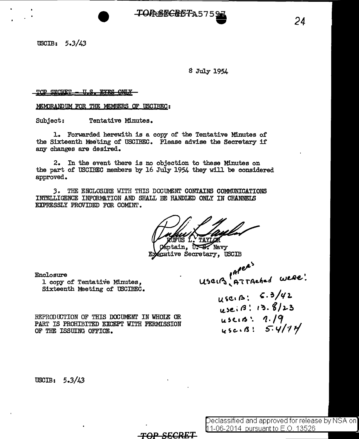**TORSECRETA575** 

USOIB: *5.3/43* 

g July 1954

TOP SECRET - U.S. EYES ONLY

MEMORANDUM FOR THE MEMBERS OF USCIBEC:

Subject: Tentative Minutes.

i. Forwarded herewith is a copy of the Tentative Minutes of the Sixteenth Meeting of USCIBEC. Please advise the Secretary if any changes are desired.

2. In the event there is no objection to these Minutes on the part of USCIBEC members by 16 July 1954 they will be considered approved.

*3 o* THE ENCLOSIJRE WITH THIS DOCIDENT CONTAINS COMMDNICATIONS INTELLIGENCE INFORMATION AND SHALL BE HANDLED ONLY IN CHANNELS EXPRESSLY PROVIDED FOR COMINT.

TAYLOR

Captain, U.S. Navy ecutive Secretary, USCIB

*TOP 86CRE.T* 

Enclosure

1 copy of Tentative Minutes, Sixteenth Meeting of USCIBEC.

\  $\alpha$ <sup>-</sup>  $\mu$ seirs <del>ATTAched</del> were!

 $U$  sc.  $\beta$ :  $\epsilon$ . 3/42  $u$  se.  $\beta$  : 13.  $\frac{8}{2}$  $\mu$ seis: *1.* /9  $\mu$ sc... R: 5.4/94

REPRODUCTION OF THIS DOCUMENT IN WHOIE OR PART IS PROHIBITED EXCEPT WITH PERMISSION OF THE ISSUING OFFICE.

USCIB: 5.3/43

eclassified and approved for release by NSA on 1-06-2014 ursuantto E.O. 13526

*24*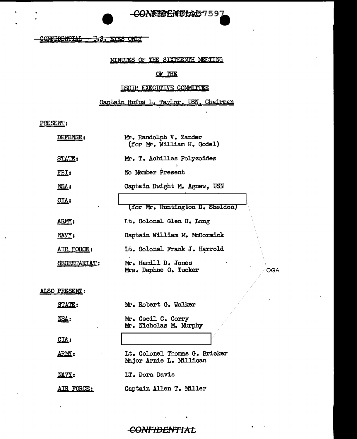-CONNEERIVEAU57597

-CONFIDENTIAL - U.S. EYES ONLY

#### MINUTES OF THE SIXTEENTH MEETING

#### OF THE

#### USCIB EXECUTIVE COMMITTEE

### Captain Rufus L. Taylor, USN, Chairman

PRESENT:

 $\bullet$ 

| DEFENSE:            | Mr. Randolph V. Zander<br>(for Mr. William H. Godel)       |
|---------------------|------------------------------------------------------------|
| <b>STATE:</b>       | Mr. T. Achilles Polyzoides                                 |
| <u>FBI:</u>         | No Member Present                                          |
| NSA:                | Captain Dwight M. Agnew, USN                               |
| <u>CIA:</u>         | (for Mr. Huntington D. Sheldon)                            |
| <u> ARMY</u> :      | Lt. Colonel Glen C. Long                                   |
| NAVY:               | Captain William M. McCormick                               |
| <u>AIR FORCE:</u>   | Lt. Colonel Frank J. Harrold                               |
| <b>SECRETARIAT:</b> | Mr. Hamill D. Jones<br>Mrs. Daphne O. Tucker<br><b>OGA</b> |
| ALSO PRESENT:       |                                                            |
| <b>STATE:</b>       | Mr. Robert G. Walker                                       |
| NSA:                | Mr. Cecil C. Corry<br>Mr. Nicholas M. Murphy               |
| $CL1$ :             |                                                            |
| ARMY:               | Lt. Colonel Thomas G. Bricker<br>Major Arnie L. Millican   |
| NAVY:               | LT. Dora Davis                                             |
| <u>AIR FORCE:</u>   | Captain Allen T. Miller                                    |

# **CONFIDENTIAL**

 $\mathbf{r} = \mathbf{r} \times \mathbf{r}$ 

 $\mathbf{r}$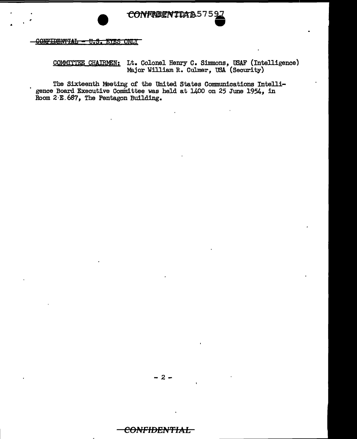CONFRIENTDA&575

<u> SONFIDENTIAL = U.S. EYES ONLY</u>

COMMITTEE CHAIRMEN: Lt. Colonel Henry C. Simmons, USAF (Intelligence) Major William R. Culmer, USA (Security)

The Sixteenth Meeting of the United States Communications Intelligence Board Executive Committee was held at 1400 on 25 June 1954, in Room 2-E.687, The Pentagon Building.

-2-

# <del>CONFIDENTIAL</del>